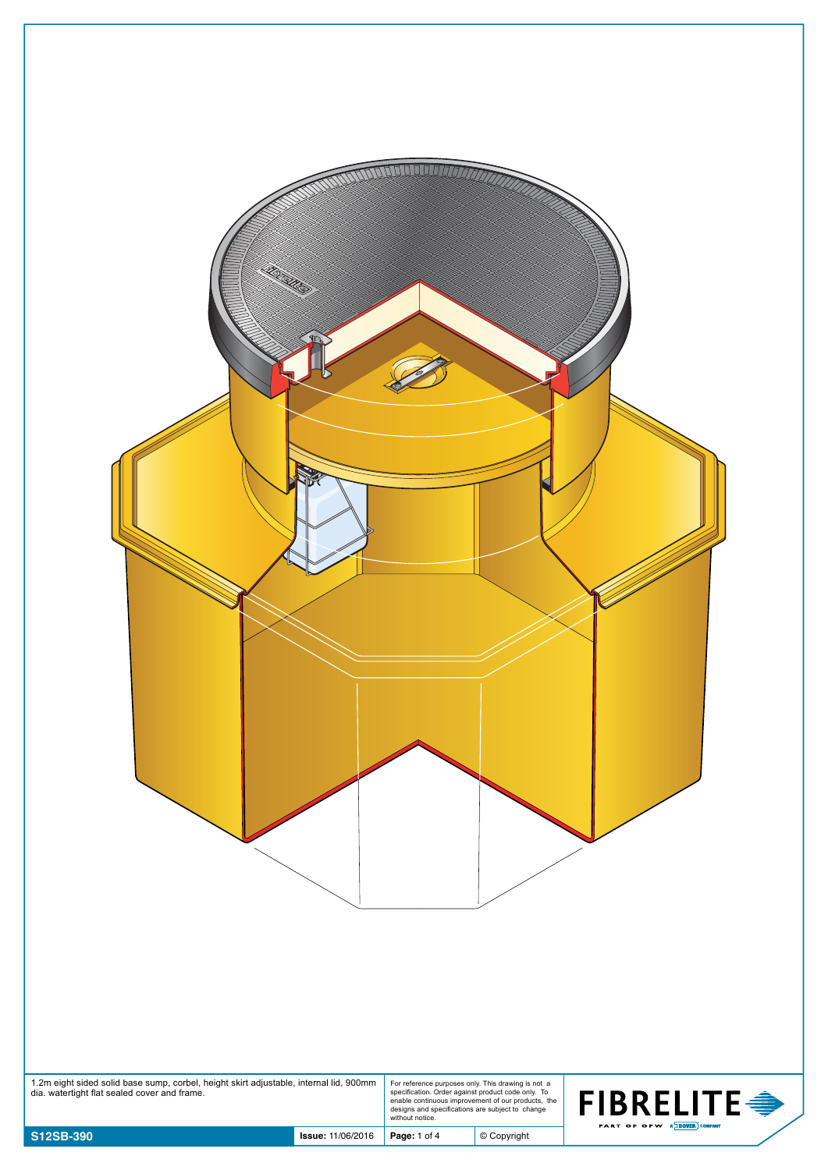| 1.2m eight sided solid base sump, corbel, height skirt adjustable, internal lid, 900mm dia. watertight flat sealed cover and frame. |                          | For reference purposes only. This drawing is not a<br>specification. Order against product code only. To<br>enable continuous improvement of our products, the<br>designs and specifications are subject to change |               | <b>FIBRELITE <del>●</del></b> |
|-------------------------------------------------------------------------------------------------------------------------------------|--------------------------|--------------------------------------------------------------------------------------------------------------------------------------------------------------------------------------------------------------------|---------------|-------------------------------|
| S12SB-390                                                                                                                           | <b>Issue: 11/06/2016</b> | without notice.<br>Page: 1 of 4                                                                                                                                                                                    | $©$ Copyright | PART OF OPW A DOVER COMPANY   |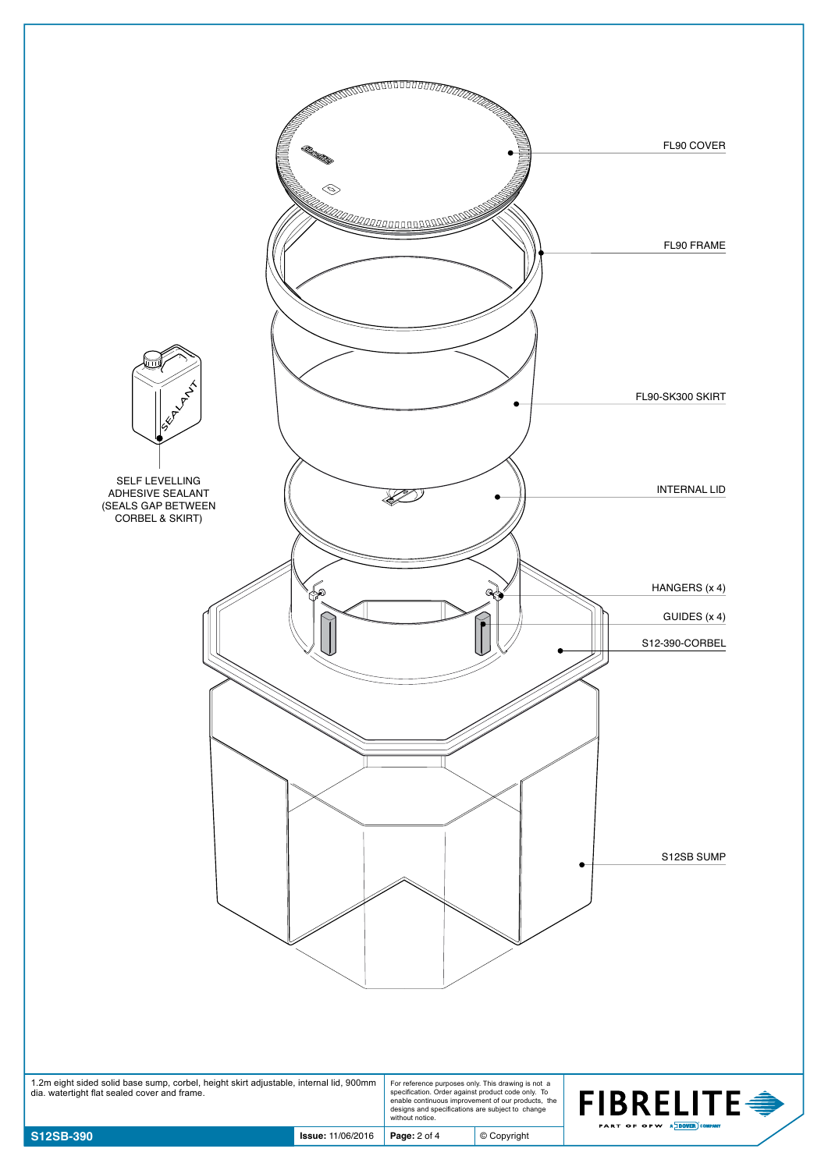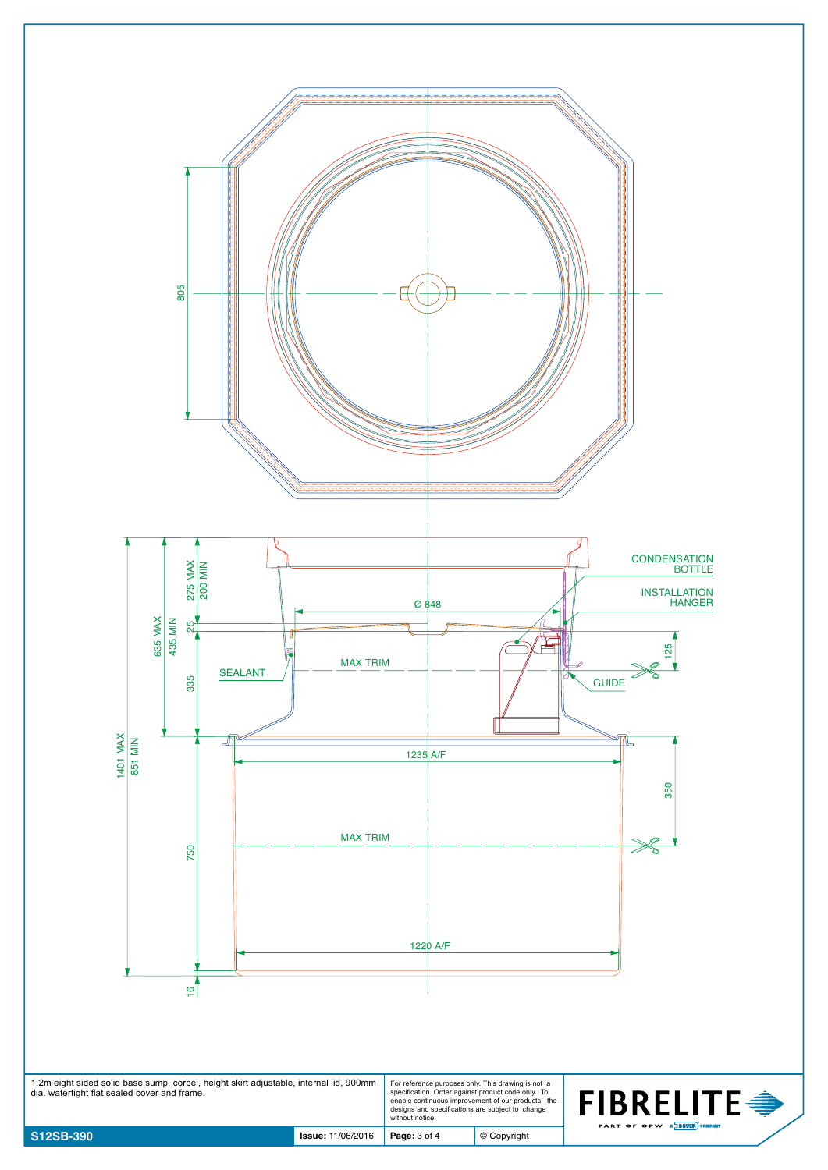